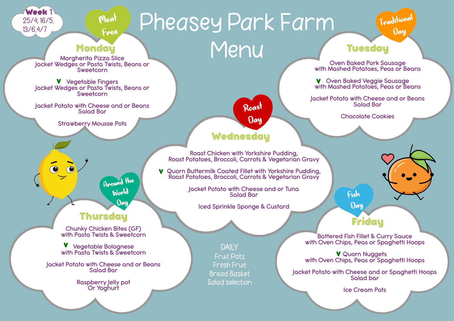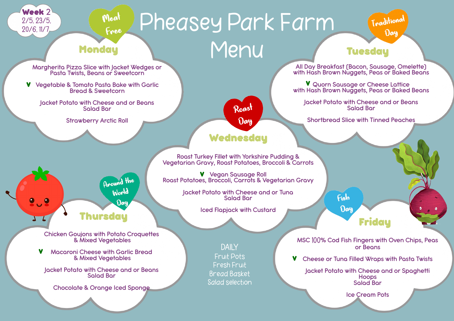